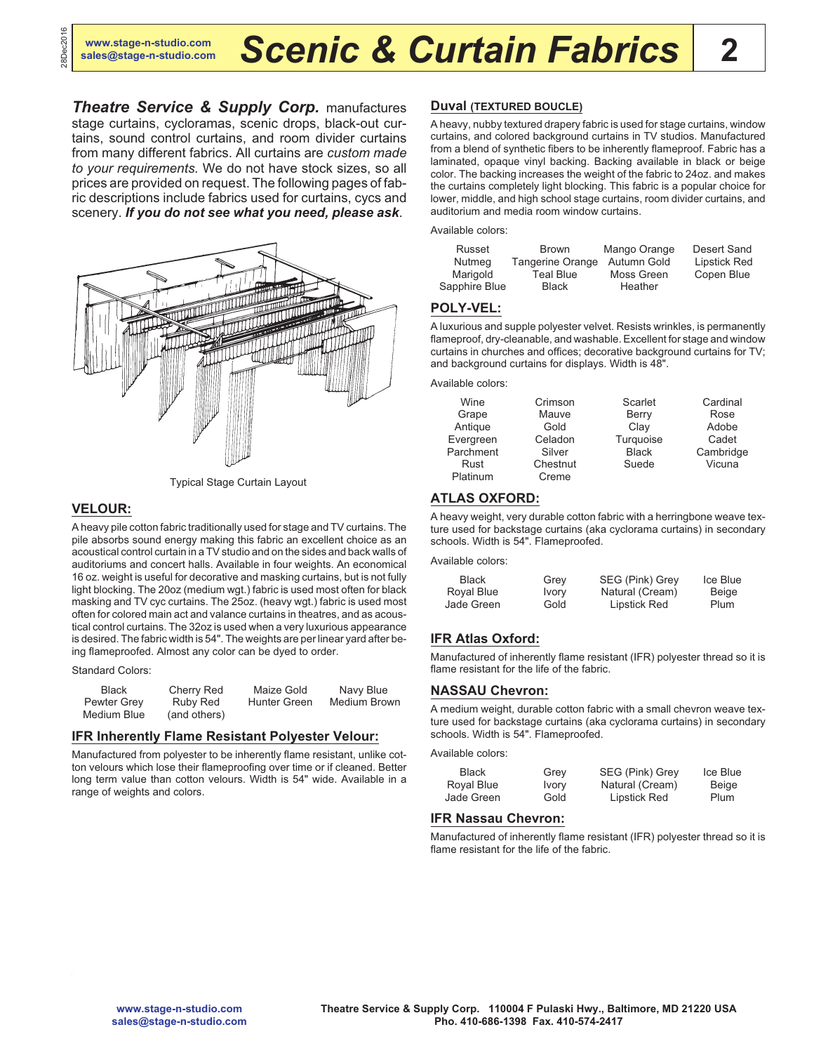*Theatre Service & Supply Corp.* manufactures stage curtains, cycloramas, scenic drops, black-out curtains, sound control curtains, and room divider curtains from many different fabrics. All curtains are *custom made to your requirements.* We do not have stock sizes, so all prices are provided on request. The following pages of fabric descriptions include fabrics used for curtains, cycs and scenery. *If you do not see what you need, please ask*.



Typical Stage Curtain Layout

# **VELOUR:**

A heavy pile cotton fabric traditionally used for stage and TV curtains. The pile absorbs sound energy making this fabric an excellent choice as an acoustical control curtain in a TV studio and on the sides and back walls of auditoriums and concert halls. Available in four weights. An economical 16 oz. weight is useful for decorative and masking curtains, but is not fully light blocking. The 20oz (medium wgt.) fabric is used most often for black masking and TV cyc curtains. The 25oz. (heavy wgt.) fabric is used most often for colored main act and valance curtains in theatres, and as acoustical control curtains. The 32oz is used when a very luxurious appearance is desired. The fabric width is 54". The weights are per linear yard after being flameproofed. Almost any color can be dyed to order.

#### Standard Colors:

| <b>Black</b> | Cherry Red   | Maize Gold          | Navy Blue    |
|--------------|--------------|---------------------|--------------|
| Pewter Grey  | Ruby Red     | <b>Hunter Green</b> | Medium Brown |
| Medium Blue  | (and others) |                     |              |

#### **IFR Inherently Flame Resistant Polyester Velour:**

Manufactured from polyester to be inherently flame resistant, unlike cotton velours which lose their flameproofing over time or if cleaned. Better long term value than cotton velours. Width is 54" wide. Available in a range of weights and colors.

#### **Duval (TEXTURED BOUCLE)**

A heavy, nubby textured drapery fabric is used for stage curtains, window curtains, and colored background curtains in TV studios. Manufactured from a blend of synthetic fibers to be inherently flameproof. Fabric has a laminated, opaque vinyl backing. Backing available in black or beige color. The backing increases the weight of the fabric to 24oz. and makes the curtains completely light blocking. This fabric is a popular choice for lower, middle, and high school stage curtains, room divider curtains, and auditorium and media room window curtains.

Available colors:

| Russet        | Brown                   | Mango Orange | Desert Sand         |
|---------------|-------------------------|--------------|---------------------|
| Nutmeg        | <b>Tangerine Orange</b> | Autumn Gold  | <b>Lipstick Red</b> |
| Marigold      | Teal Blue               | Moss Green   | Copen Blue          |
| Sapphire Blue | <b>Black</b>            | Heather      |                     |

#### **POLY-VEL:**

A luxurious and supple polyester velvet. Resists wrinkles, is permanently flameproof, dry-cleanable, and washable. Excellent for stage and window curtains in churches and offices; decorative background curtains for TV; and background curtains for displays. Width is 48".

Available colors:

| Wine      | Crimson  | Scarlet      | Cardinal  |
|-----------|----------|--------------|-----------|
| Grape     | Mauve    | Berry        | Rose      |
| Antique   | Gold     | Clay         | Adobe     |
| Evergreen | Celadon  | Turquoise    | Cadet     |
| Parchment | Silver   | <b>Black</b> | Cambridge |
| Rust      | Chestnut | Suede        | Vicuna    |
| Platinum  | Creme    |              |           |

# **ATLAS OXFORD:**

A heavy weight, very durable cotton fabric with a herringbone weave texture used for backstage curtains (aka cyclorama curtains) in secondary schools. Width is 54". Flameproofed.

Available colors:

| <b>Black</b> | Grey         | SEG (Pink) Grey | Ice Blue |
|--------------|--------------|-----------------|----------|
| Royal Blue   | <b>Ivory</b> | Natural (Cream) | Beige    |
| Jade Green   | Gold         | Lipstick Red    | Plum     |

# **IFR Atlas Oxford:**

Manufactured of inherently flame resistant (IFR) polyester thread so it is flame resistant for the life of the fabric.

#### **NASSAU Chevron:**

A medium weight, durable cotton fabric with a small chevron weave texture used for backstage curtains (aka cyclorama curtains) in secondary schools. Width is 54". Flameproofed.

Available colors:

| Black      | Grey         | SEG (Pink) Grey | Ice Blue     |
|------------|--------------|-----------------|--------------|
| Royal Blue | <b>Ivory</b> | Natural (Cream) | <b>Beige</b> |
| Jade Green | Gold         | Lipstick Red    | Plum         |

# **IFR Nassau Chevron:**

Manufactured of inherently flame resistant (IFR) polyester thread so it is flame resistant for the life of the fabric.